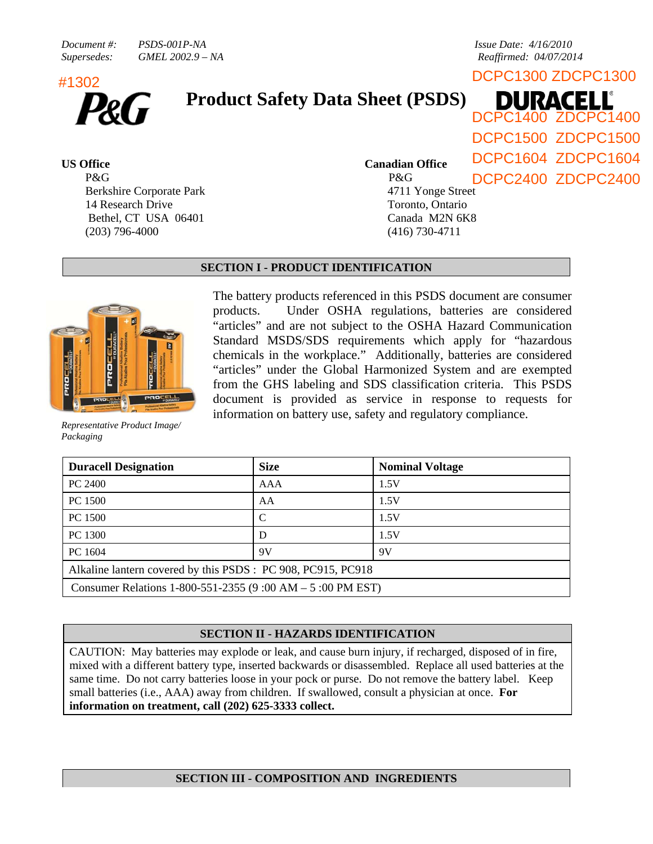*Document #:* PSDS-001P-NA *PSDS-001P-NA Issue Date: 4/16/2010 Supersedes: GMEL 2002.9 – NA Reaffirmed: 04/07/2014* 

DCPC1300 ZDCPC1300 #1302



# **Product Safety Data Sheet (PSDS)**

P&G Berkshire Corporate Park 14 Research Drive Bethel, CT USA 06401 (203) 796-4000

DCPC1500 ZDCPC1500

(416) 730-4711

**US Office Canadian Office** 

P&G 4711 Yonge Street Toronto, Ontario Canada M2N 6K8 DCPC1604 ZDCPC1604 DCPC2400 ZDCPC2400

DCPC1400 ZDCPC1400

DURACELL

**PROCEL!..** 

*Representative Product Image/ Packaging* 

# **SECTION I - PRODUCT IDENTIFICATION**

The battery products referenced in this PSDS document are consumer products. Under OSHA regulations, batteries are considered "articles" and are not subject to the OSHA Hazard Communication Standard MSDS/SDS requirements which apply for "hazardous chemicals in the workplace." Additionally, batteries are considered "articles" under the Global Harmonized System and are exempted from the GHS labeling and SDS classification criteria. This PSDS document is provided as service in response to requests for information on battery use, safety and regulatory compliance.

| <b>Duracell Designation</b>                                  | <b>Size</b> | <b>Nominal Voltage</b> |  |  |  |
|--------------------------------------------------------------|-------------|------------------------|--|--|--|
| PC 2400                                                      | AAA         | 1.5V                   |  |  |  |
| PC 1500                                                      | AA          | 1.5V                   |  |  |  |
| PC 1500                                                      |             | 1.5V                   |  |  |  |
| PC 1300                                                      | D           | 1.5V                   |  |  |  |
| PC 1604                                                      | 9V          | 9V                     |  |  |  |
| Alkaline lantern covered by this PSDS : PC 908, PC915, PC918 |             |                        |  |  |  |
| Consumer Relations 1-800-551-2355 (9:00 AM $-$ 5:00 PM EST)  |             |                        |  |  |  |

# **SECTION II - HAZARDS IDENTIFICATION**

CAUTION: May batteries may explode or leak, and cause burn injury, if recharged, disposed of in fire, mixed with a different battery type, inserted backwards or disassembled. Replace all used batteries at the same time. Do not carry batteries loose in your pock or purse. Do not remove the battery label. Keep small batteries (i.e., AAA) away from children. If swallowed, consult a physician at once. **For information on treatment, call (202) 625-3333 collect.**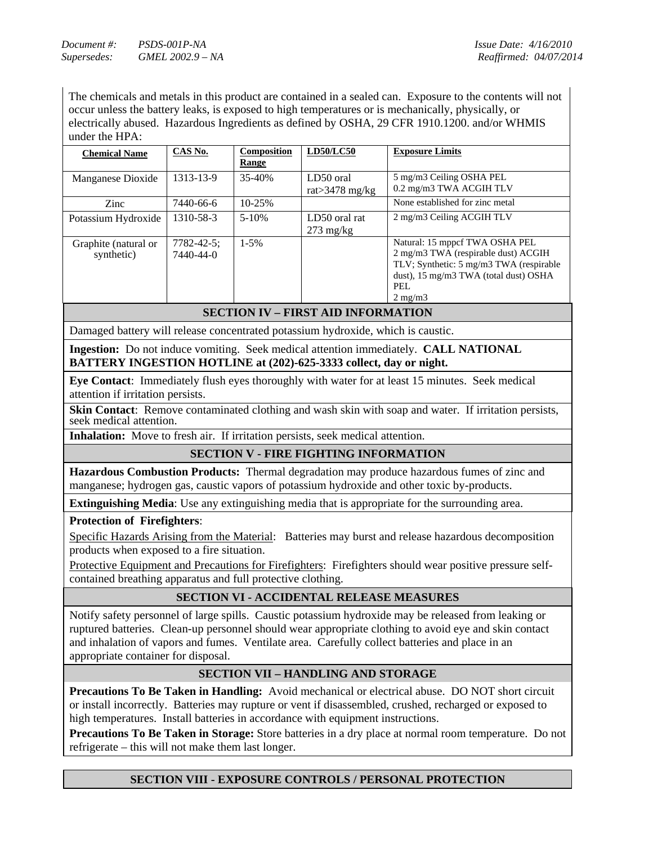*Document #:* PSDS-001P-NA *Document #:* PSDS-001P-NA *Supersedes: GMEL 2002.9 – NA Reaffirmed: 04/07/2014* 

The chemicals and metals in this product are contained in a sealed can. Exposure to the contents will not occur unless the battery leaks, is exposed to high temperatures or is mechanically, physically, or electrically abused. Hazardous Ingredients as defined by OSHA, 29 CFR 1910.1200. and/or WHMIS under the HPA:

| <b>Chemical Name</b>               | CAS No.                        | Composition<br><b>Range</b> | <b>LD50/LC50</b>                     | <b>Exposure Limits</b>                                                                                                                                                                 |
|------------------------------------|--------------------------------|-----------------------------|--------------------------------------|----------------------------------------------------------------------------------------------------------------------------------------------------------------------------------------|
| Manganese Dioxide                  | 1313-13-9                      | 35-40%                      | LD50 oral<br>rat $>$ 3478 mg/kg      | 5 mg/m3 Ceiling OSHA PEL<br>0.2 mg/m3 TWA ACGIH TLV                                                                                                                                    |
| Zinc                               | 7440-66-6                      | 10-25%                      |                                      | None established for zinc metal                                                                                                                                                        |
| Potassium Hydroxide                | 1310-58-3                      | $5 - 10%$                   | LD50 oral rat<br>$273 \text{ mg/kg}$ | 2 mg/m3 Ceiling ACGIH TLV                                                                                                                                                              |
| Graphite (natural or<br>synthetic) | $7782 - 42 - 5$ ;<br>7440-44-0 | $1 - 5\%$                   |                                      | Natural: 15 mppcf TWA OSHA PEL<br>2 mg/m3 TWA (respirable dust) ACGIH<br>TLV; Synthetic: 5 mg/m3 TWA (respirable)<br>dust), 15 mg/m3 TWA (total dust) OSHA<br>PEL.<br>$2 \text{ mg/m}$ |

# **SECTION IV – FIRST AID INFORMATION**

Damaged battery will release concentrated potassium hydroxide, which is caustic.

**Ingestion:** Do not induce vomiting. Seek medical attention immediately. **CALL NATIONAL BATTERY INGESTION HOTLINE at (202)-625-3333 collect, day or night.**

**Eye Contact**: Immediately flush eyes thoroughly with water for at least 15 minutes. Seek medical attention if irritation persists.

**Skin Contact:** Remove contaminated clothing and wash skin with soap and water. If irritation persists, seek medical attention.

**Inhalation:** Move to fresh air. If irritation persists, seek medical attention.

# **SECTION V - FIRE FIGHTING INFORMATION**

**Hazardous Combustion Products:** Thermal degradation may produce hazardous fumes of zinc and manganese; hydrogen gas, caustic vapors of potassium hydroxide and other toxic by-products.

**Extinguishing Media**: Use any extinguishing media that is appropriate for the surrounding area.

**Protection of Firefighters**:

Specific Hazards Arising from the Material: Batteries may burst and release hazardous decomposition products when exposed to a fire situation.

Protective Equipment and Precautions for Firefighters: Firefighters should wear positive pressure selfcontained breathing apparatus and full protective clothing.

# **SECTION VI - ACCIDENTAL RELEASE MEASURES**

Notify safety personnel of large spills. Caustic potassium hydroxide may be released from leaking or ruptured batteries. Clean-up personnel should wear appropriate clothing to avoid eye and skin contact and inhalation of vapors and fumes. Ventilate area. Carefully collect batteries and place in an appropriate container for disposal.

### **SECTION VII – HANDLING AND STORAGE**

**Precautions To Be Taken in Handling:** Avoid mechanical or electrical abuse. DO NOT short circuit or install incorrectly. Batteries may rupture or vent if disassembled, crushed, recharged or exposed to high temperatures. Install batteries in accordance with equipment instructions.

**Precautions To Be Taken in Storage:** Store batteries in a dry place at normal room temperature. Do not refrigerate – this will not make them last longer.

# **SECTION VIII - EXPOSURE CONTROLS / PERSONAL PROTECTION**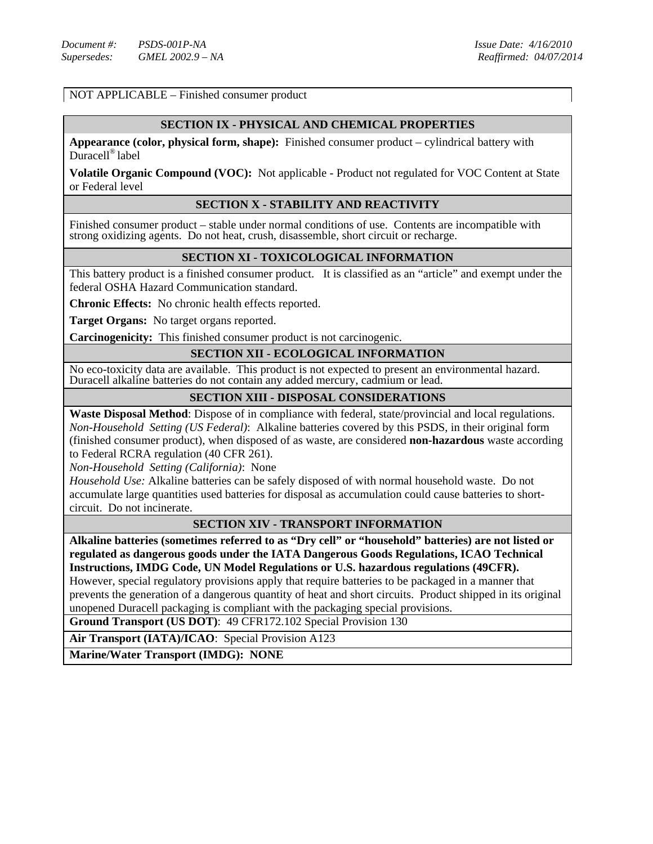NOT APPLICABLE – Finished consumer product

#### **SECTION IX - PHYSICAL AND CHEMICAL PROPERTIES**

**Appearance (color, physical form, shape):** Finished consumer product – cylindrical battery with Duracell® label

**Volatile Organic Compound (VOC):** Not applicable - Product not regulated for VOC Content at State or Federal level

#### **SECTION X - STABILITY AND REACTIVITY**

Finished consumer product – stable under normal conditions of use. Contents are incompatible with strong oxidizing agents. Do not heat, crush, disassemble, short circuit or recharge.

### **SECTION XI - TOXICOLOGICAL INFORMATION**

This battery product is a finished consumer product. It is classified as an "article" and exempt under the federal OSHA Hazard Communication standard.

**Chronic Effects:** No chronic health effects reported.

**Target Organs:** No target organs reported.

**Carcinogenicity:** This finished consumer product is not carcinogenic.

# **SECTION XII - ECOLOGICAL INFORMATION**

No eco-toxicity data are available. This product is not expected to present an environmental hazard. Duracell alkaline batteries do not contain any added mercury, cadmium or lead.

# **SECTION XIII - DISPOSAL CONSIDERATIONS**

**Waste Disposal Method**: Dispose of in compliance with federal, state/provincial and local regulations. *Non-Household Setting (US Federal)*: Alkaline batteries covered by this PSDS, in their original form (finished consumer product), when disposed of as waste, are considered **non-hazardous** waste according to Federal RCRA regulation (40 CFR 261).

*Non-Household Setting (California)*: None

*Household Use:* Alkaline batteries can be safely disposed of with normal household waste. Do not accumulate large quantities used batteries for disposal as accumulation could cause batteries to shortcircuit. Do not incinerate.

### **SECTION XIV - TRANSPORT INFORMATION**

**Alkaline batteries (sometimes referred to as "Dry cell" or "household" batteries) are not listed or regulated as dangerous goods under the IATA Dangerous Goods Regulations, ICAO Technical Instructions, IMDG Code, UN Model Regulations or U.S. hazardous regulations (49CFR).** 

However, special regulatory provisions apply that require batteries to be packaged in a manner that prevents the generation of a dangerous quantity of heat and short circuits. Product shipped in its original unopened Duracell packaging is compliant with the packaging special provisions.

**Ground Transport (US DOT)**: 49 CFR172.102 Special Provision 130

**Air Transport (IATA)/ICAO**: Special Provision A123

**Marine/Water Transport (IMDG): NONE**